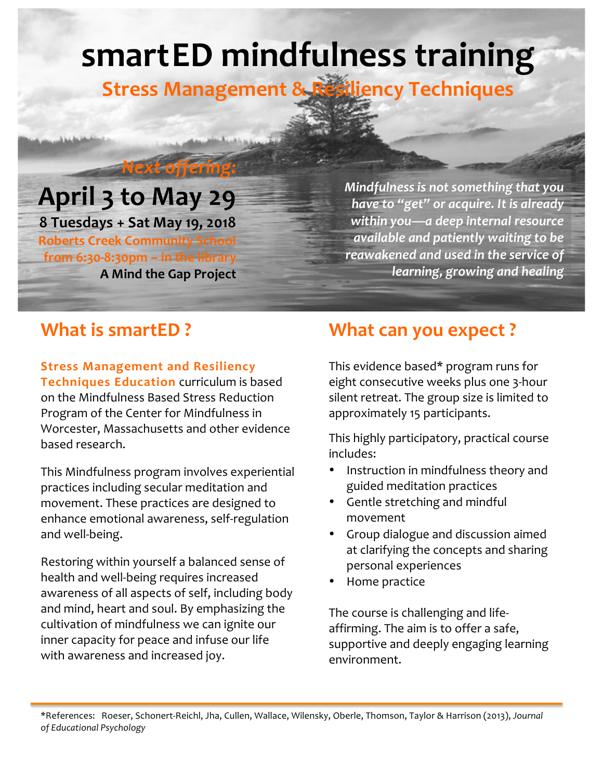# **smartED mindfulness training**

**Stress Management & Resiliency Techniques** 

## April 3 to May 29

*Next offering:*

**8 Tuesdays + Sat May 19, 2018 Roberts Creek Community School** from 6:30-8:30pm ~ in the library **A Mind the Gap Project** *Mindfulness is not something that you have to "get"* or acquire. It is already within you—a deep internal resource *available and patiently waiting to be* reawakened and used in the service of *learning, growing and healing*

**Stress Management and Resiliency Techniques Education** curriculum is based on the Mindfulness Based Stress Reduction Program of the Center for Mindfulness in Worcester, Massachusetts and other evidence based research.

This Mindfulness program involves experiential practices including secular meditation and movement. These practices are designed to enhance emotional awareness, self-regulation and well-being. 

Restoring within yourself a balanced sense of health and well-being requires increased awareness of all aspects of self, including body and mind, heart and soul. By emphasizing the cultivation of mindfulness we can ignite our inner capacity for peace and infuse our life with awareness and increased joy.

## **What is smartED ? What can you expect ?**

This evidence based\* program runs for eight consecutive weeks plus one 3-hour silent retreat. The group size is limited to approximately 15 participants.

This highly participatory, practical course includes:

- Instruction in mindfulness theory and guided meditation practices
- Gentle stretching and mindful movement
- Group dialogue and discussion aimed at clarifying the concepts and sharing personal experiences
- Home practice

The course is challenging and lifeaffirming. The aim is to offer a safe, supportive and deeply engaging learning environment.